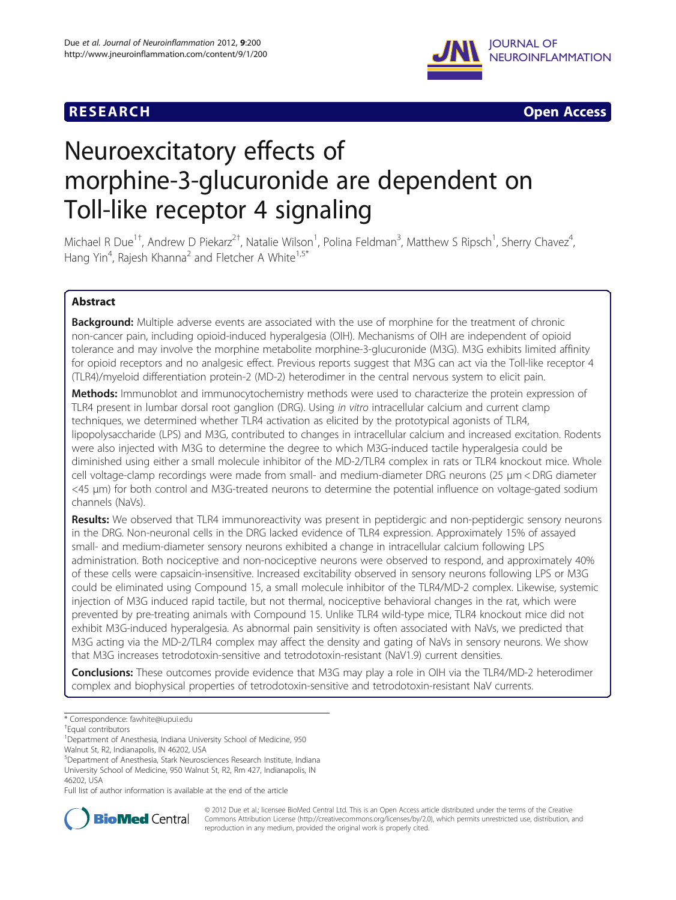## **RESEARCH CHEAR CHEAR CHEAR CHEAR CHEAR CHEAR CHEAR CHEAR CHEAR CHEAR CHEAR CHEAR CHEAR CHEAR CHEAR CHEAR CHEAR**



# Neuroexcitatory effects of morphine-3-glucuronide are dependent on Toll-like receptor 4 signaling

Michael R Due<sup>1+</sup>, Andrew D Piekarz<sup>2†</sup>, Natalie Wilson<sup>1</sup>, Polina Feldman<sup>3</sup>, Matthew S Ripsch<sup>1</sup>, Sherry Chavez<sup>4</sup> , Hang Yin<sup>4</sup>, Rajesh Khanna<sup>2</sup> and Fletcher A White<sup>1,5\*</sup>

## Abstract

**Background:** Multiple adverse events are associated with the use of morphine for the treatment of chronic non-cancer pain, including opioid-induced hyperalgesia (OIH). Mechanisms of OIH are independent of opioid tolerance and may involve the morphine metabolite morphine-3-glucuronide (M3G). M3G exhibits limited affinity for opioid receptors and no analgesic effect. Previous reports suggest that M3G can act via the Toll-like receptor 4 (TLR4)/myeloid differentiation protein-2 (MD-2) heterodimer in the central nervous system to elicit pain.

Methods: Immunoblot and immunocytochemistry methods were used to characterize the protein expression of TLR4 present in lumbar dorsal root ganglion (DRG). Using in vitro intracellular calcium and current clamp techniques, we determined whether TLR4 activation as elicited by the prototypical agonists of TLR4, lipopolysaccharide (LPS) and M3G, contributed to changes in intracellular calcium and increased excitation. Rodents were also injected with M3G to determine the degree to which M3G-induced tactile hyperalgesia could be diminished using either a small molecule inhibitor of the MD-2/TLR4 complex in rats or TLR4 knockout mice. Whole cell voltage-clamp recordings were made from small- and medium-diameter DRG neurons (25 μm < DRG diameter <45 μm) for both control and M3G-treated neurons to determine the potential influence on voltage-gated sodium channels (NaVs).

Results: We observed that TLR4 immunoreactivity was present in peptidergic and non-peptidergic sensory neurons in the DRG. Non-neuronal cells in the DRG lacked evidence of TLR4 expression. Approximately 15% of assayed small- and medium-diameter sensory neurons exhibited a change in intracellular calcium following LPS administration. Both nociceptive and non-nociceptive neurons were observed to respond, and approximately 40% of these cells were capsaicin-insensitive. Increased excitability observed in sensory neurons following LPS or M3G could be eliminated using Compound 15, a small molecule inhibitor of the TLR4/MD-2 complex. Likewise, systemic injection of M3G induced rapid tactile, but not thermal, nociceptive behavioral changes in the rat, which were prevented by pre-treating animals with Compound 15. Unlike TLR4 wild-type mice, TLR4 knockout mice did not exhibit M3G-induced hyperalgesia. As abnormal pain sensitivity is often associated with NaVs, we predicted that M3G acting via the MD-2/TLR4 complex may affect the density and gating of NaVs in sensory neurons. We show that M3G increases tetrodotoxin-sensitive and tetrodotoxin-resistant (NaV1.9) current densities.

**Conclusions:** These outcomes provide evidence that M3G may play a role in OIH via the TLR4/MD-2 heterodimer complex and biophysical properties of tetrodotoxin-sensitive and tetrodotoxin-resistant NaV currents.

Full list of author information is available at the end of the article



© 2012 Due et al.; licensee BioMed Central Ltd. This is an Open Access article distributed under the terms of the Creative Commons Attribution License [\(http://creativecommons.org/licenses/by/2.0\)](http://creativecommons.org/licenses/by/2.0), which permits unrestricted use, distribution, and reproduction in any medium, provided the original work is properly cited.

<sup>\*</sup> Correspondence: [fawhite@iupui.edu](mailto:fawhite@iupui.edu) †

Equal contributors

<sup>&</sup>lt;sup>1</sup>Department of Anesthesia, Indiana University School of Medicine, 950

Walnut St, R2, Indianapolis, IN 46202, USA

<sup>5</sup> Department of Anesthesia, Stark Neurosciences Research Institute, Indiana University School of Medicine, 950 Walnut St, R2, Rm 427, Indianapolis, IN

<sup>46202,</sup> USA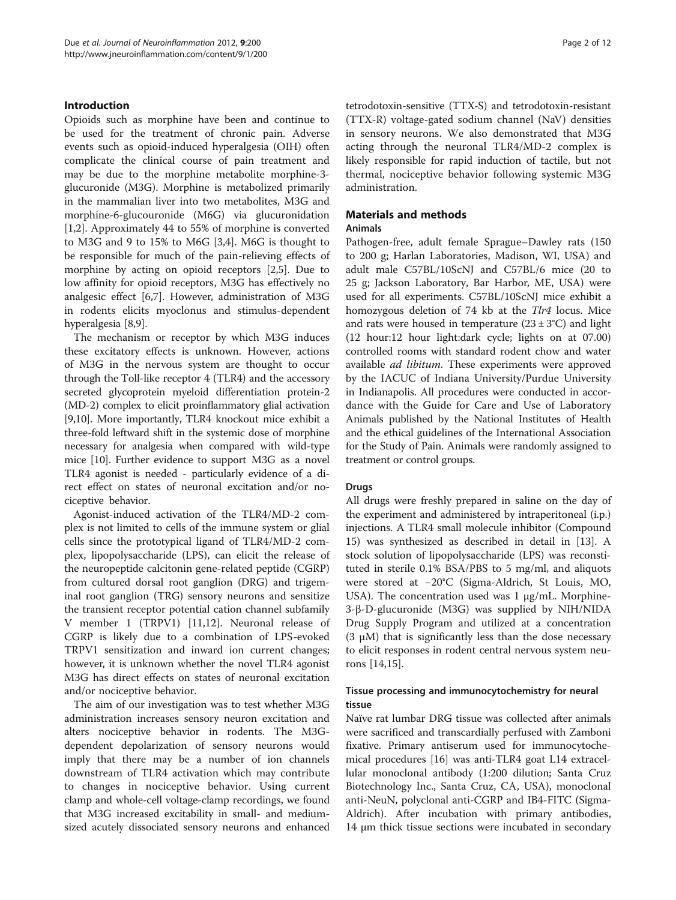## Introduction

Opioids such as morphine have been and continue to be used for the treatment of chronic pain. Adverse events such as opioid-induced hyperalgesia (OIH) often complicate the clinical course of pain treatment and may be due to the morphine metabolite morphine-3 glucuronide (M3G). Morphine is metabolized primarily in the mammalian liver into two metabolites, M3G and morphine-6-glucouronide (M6G) via glucuronidation [[1,2\]](#page-10-0). Approximately 44 to 55% of morphine is converted to M3G and 9 to 15% to M6G [\[3](#page-10-0),[4](#page-10-0)]. M6G is thought to be responsible for much of the pain-relieving effects of morphine by acting on opioid receptors [\[2,5](#page-10-0)]. Due to low affinity for opioid receptors, M3G has effectively no analgesic effect [[6,7\]](#page-10-0). However, administration of M3G in rodents elicits myoclonus and stimulus-dependent hyperalgesia [[8,9\]](#page-10-0).

The mechanism or receptor by which M3G induces these excitatory effects is unknown. However, actions of M3G in the nervous system are thought to occur through the Toll-like receptor 4 (TLR4) and the accessory secreted glycoprotein myeloid differentiation protein-2 (MD-2) complex to elicit proinflammatory glial activation [[9,10](#page-10-0)]. More importantly, TLR4 knockout mice exhibit a three-fold leftward shift in the systemic dose of morphine necessary for analgesia when compared with wild-type mice [[10\]](#page-10-0). Further evidence to support M3G as a novel TLR4 agonist is needed - particularly evidence of a direct effect on states of neuronal excitation and/or nociceptive behavior.

Agonist-induced activation of the TLR4/MD-2 complex is not limited to cells of the immune system or glial cells since the prototypical ligand of TLR4/MD-2 complex, lipopolysaccharide (LPS), can elicit the release of the neuropeptide calcitonin gene-related peptide (CGRP) from cultured dorsal root ganglion (DRG) and trigeminal root ganglion (TRG) sensory neurons and sensitize the transient receptor potential cation channel subfamily V member 1 (TRPV1) [[11,12\]](#page-10-0). Neuronal release of CGRP is likely due to a combination of LPS-evoked TRPV1 sensitization and inward ion current changes; however, it is unknown whether the novel TLR4 agonist M3G has direct effects on states of neuronal excitation and/or nociceptive behavior.

The aim of our investigation was to test whether M3G administration increases sensory neuron excitation and alters nociceptive behavior in rodents. The M3Gdependent depolarization of sensory neurons would imply that there may be a number of ion channels downstream of TLR4 activation which may contribute to changes in nociceptive behavior. Using current clamp and whole-cell voltage-clamp recordings, we found that M3G increased excitability in small- and mediumsized acutely dissociated sensory neurons and enhanced tetrodotoxin-sensitive (TTX-S) and tetrodotoxin-resistant (TTX-R) voltage-gated sodium channel (NaV) densities in sensory neurons. We also demonstrated that M3G acting through the neuronal TLR4/MD-2 complex is likely responsible for rapid induction of tactile, but not thermal, nociceptive behavior following systemic M3G administration.

## Materials and methods

#### Animals

Pathogen-free, adult female Sprague–Dawley rats (150 to 200 g; Harlan Laboratories, Madison, WI, USA) and adult male C57BL/10ScNJ and C57BL/6 mice (20 to 25 g; Jackson Laboratory, Bar Harbor, ME, USA) were used for all experiments. C57BL/10ScNJ mice exhibit a homozygous deletion of 74 kb at the Tlr4 locus. Mice and rats were housed in temperature  $(23 \pm 3^{\circ}C)$  and light (12 hour:12 hour light:dark cycle; lights on at 07.00) controlled rooms with standard rodent chow and water available *ad libitum*. These experiments were approved by the IACUC of Indiana University/Purdue University in Indianapolis. All procedures were conducted in accordance with the Guide for Care and Use of Laboratory Animals published by the National Institutes of Health and the ethical guidelines of the International Association for the Study of Pain. Animals were randomly assigned to treatment or control groups.

## Drugs

All drugs were freshly prepared in saline on the day of the experiment and administered by intraperitoneal (i.p.) injections. A TLR4 small molecule inhibitor (Compound 15) was synthesized as described in detail in [\[13\]](#page-10-0). A stock solution of lipopolysaccharide (LPS) was reconstituted in sterile 0.1% BSA/PBS to 5 mg/ml, and aliquots were stored at −20°C (Sigma-Aldrich, St Louis, MO, USA). The concentration used was  $1 \mu g/mL$ . Morphine-3-β-D-glucuronide (M3G) was supplied by NIH/NIDA Drug Supply Program and utilized at a concentration (3  $\mu$ M) that is significantly less than the dose necessary to elicit responses in rodent central nervous system neurons [[14,15\]](#page-10-0).

## Tissue processing and immunocytochemistry for neural tissue

Naïve rat lumbar DRG tissue was collected after animals were sacrificed and transcardially perfused with Zamboni fixative. Primary antiserum used for immunocytochemical procedures [\[16](#page-10-0)] was anti-TLR4 goat L14 extracellular monoclonal antibody (1:200 dilution; Santa Cruz Biotechnology Inc., Santa Cruz, CA, USA), monoclonal anti-NeuN, polyclonal anti-CGRP and IB4-FITC (Sigma-Aldrich). After incubation with primary antibodies, 14 μm thick tissue sections were incubated in secondary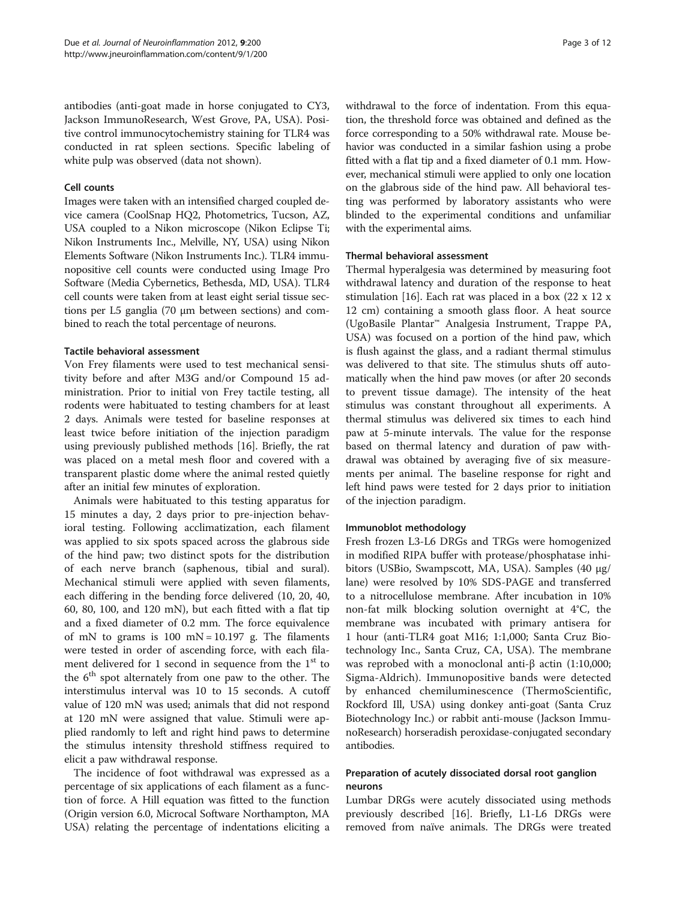antibodies (anti-goat made in horse conjugated to CY3, Jackson ImmunoResearch, West Grove, PA, USA). Positive control immunocytochemistry staining for TLR4 was conducted in rat spleen sections. Specific labeling of white pulp was observed (data not shown).

#### Cell counts

Images were taken with an intensified charged coupled device camera (CoolSnap HQ2, Photometrics, Tucson, AZ, USA coupled to a Nikon microscope (Nikon Eclipse Ti; Nikon Instruments Inc., Melville, NY, USA) using Nikon Elements Software (Nikon Instruments Inc.). TLR4 immunopositive cell counts were conducted using Image Pro Software (Media Cybernetics, Bethesda, MD, USA). TLR4 cell counts were taken from at least eight serial tissue sections per L5 ganglia (70 μm between sections) and combined to reach the total percentage of neurons.

#### Tactile behavioral assessment

Von Frey filaments were used to test mechanical sensitivity before and after M3G and/or Compound 15 administration. Prior to initial von Frey tactile testing, all rodents were habituated to testing chambers for at least 2 days. Animals were tested for baseline responses at least twice before initiation of the injection paradigm using previously published methods [\[16\]](#page-10-0). Briefly, the rat was placed on a metal mesh floor and covered with a transparent plastic dome where the animal rested quietly after an initial few minutes of exploration.

Animals were habituated to this testing apparatus for 15 minutes a day, 2 days prior to pre-injection behavioral testing. Following acclimatization, each filament was applied to six spots spaced across the glabrous side of the hind paw; two distinct spots for the distribution of each nerve branch (saphenous, tibial and sural). Mechanical stimuli were applied with seven filaments, each differing in the bending force delivered (10, 20, 40, 60, 80, 100, and 120 mN), but each fitted with a flat tip and a fixed diameter of 0.2 mm. The force equivalence of mN to grams is  $100$  mN =  $10.197$  g. The filaments were tested in order of ascending force, with each filament delivered for 1 second in sequence from the  $1<sup>st</sup>$  to the  $6<sup>th</sup>$  spot alternately from one paw to the other. The interstimulus interval was 10 to 15 seconds. A cutoff value of 120 mN was used; animals that did not respond at 120 mN were assigned that value. Stimuli were applied randomly to left and right hind paws to determine the stimulus intensity threshold stiffness required to elicit a paw withdrawal response.

The incidence of foot withdrawal was expressed as a percentage of six applications of each filament as a function of force. A Hill equation was fitted to the function (Origin version 6.0, Microcal Software Northampton, MA USA) relating the percentage of indentations eliciting a withdrawal to the force of indentation. From this equation, the threshold force was obtained and defined as the force corresponding to a 50% withdrawal rate. Mouse behavior was conducted in a similar fashion using a probe fitted with a flat tip and a fixed diameter of 0.1 mm. However, mechanical stimuli were applied to only one location on the glabrous side of the hind paw. All behavioral testing was performed by laboratory assistants who were blinded to the experimental conditions and unfamiliar with the experimental aims.

#### Thermal behavioral assessment

Thermal hyperalgesia was determined by measuring foot withdrawal latency and duration of the response to heat stimulation [\[16](#page-10-0)]. Each rat was placed in a box  $(22 \times 12 \times$ 12 cm) containing a smooth glass floor. A heat source (UgoBasile Plantar™ Analgesia Instrument, Trappe PA, USA) was focused on a portion of the hind paw, which is flush against the glass, and a radiant thermal stimulus was delivered to that site. The stimulus shuts off automatically when the hind paw moves (or after 20 seconds to prevent tissue damage). The intensity of the heat stimulus was constant throughout all experiments. A thermal stimulus was delivered six times to each hind paw at 5-minute intervals. The value for the response based on thermal latency and duration of paw withdrawal was obtained by averaging five of six measurements per animal. The baseline response for right and left hind paws were tested for 2 days prior to initiation of the injection paradigm.

#### Immunoblot methodology

Fresh frozen L3-L6 DRGs and TRGs were homogenized in modified RIPA buffer with protease/phosphatase inhibitors (USBio, Swampscott, MA, USA). Samples (40 μg/ lane) were resolved by 10% SDS-PAGE and transferred to a nitrocellulose membrane. After incubation in 10% non-fat milk blocking solution overnight at 4°C, the membrane was incubated with primary antisera for 1 hour (anti-TLR4 goat M16; 1:1,000; Santa Cruz Biotechnology Inc., Santa Cruz, CA, USA). The membrane was reprobed with a monoclonal anti-β actin  $(1:10,000;$ Sigma-Aldrich). Immunopositive bands were detected by enhanced chemiluminescence (ThermoScientific, Rockford Ill, USA) using donkey anti-goat (Santa Cruz Biotechnology Inc.) or rabbit anti-mouse (Jackson ImmunoResearch) horseradish peroxidase-conjugated secondary antibodies.

## Preparation of acutely dissociated dorsal root ganglion neurons

Lumbar DRGs were acutely dissociated using methods previously described [\[16](#page-10-0)]. Briefly, L1-L6 DRGs were removed from naïve animals. The DRGs were treated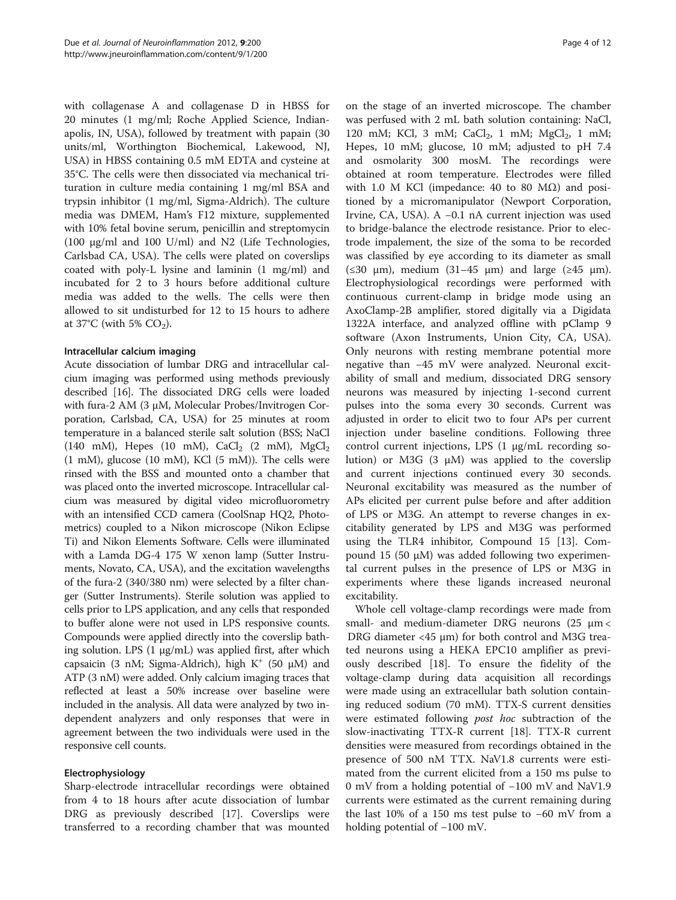with collagenase A and collagenase D in HBSS for 20 minutes (1 mg/ml; Roche Applied Science, Indianapolis, IN, USA), followed by treatment with papain (30 units/ml, Worthington Biochemical, Lakewood, NJ, USA) in HBSS containing 0.5 mM EDTA and cysteine at 35°C. The cells were then dissociated via mechanical trituration in culture media containing 1 mg/ml BSA and trypsin inhibitor (1 mg/ml, Sigma-Aldrich). The culture media was DMEM, Ham's F12 mixture, supplemented with 10% fetal bovine serum, penicillin and streptomycin (100 μg/ml and 100 U/ml) and N2 (Life Technologies, Carlsbad CA, USA). The cells were plated on coverslips coated with poly-L lysine and laminin (1 mg/ml) and incubated for 2 to 3 hours before additional culture media was added to the wells. The cells were then allowed to sit undisturbed for 12 to 15 hours to adhere at  $37^{\circ}$ C (with 5% CO<sub>2</sub>).

#### Intracellular calcium imaging

Acute dissociation of lumbar DRG and intracellular calcium imaging was performed using methods previously described [[16](#page-10-0)]. The dissociated DRG cells were loaded with fura-2 AM (3 μM, Molecular Probes/Invitrogen Corporation, Carlsbad, CA, USA) for 25 minutes at room temperature in a balanced sterile salt solution (BSS; NaCl (140 mM), Hepes (10 mM), CaCl<sub>2</sub> (2 mM), MgCl<sub>2</sub> (1 mM), glucose (10 mM), KCl (5 mM)). The cells were rinsed with the BSS and mounted onto a chamber that was placed onto the inverted microscope. Intracellular calcium was measured by digital video microfluorometry with an intensified CCD camera (CoolSnap HQ2, Photometrics) coupled to a Nikon microscope (Nikon Eclipse Ti) and Nikon Elements Software. Cells were illuminated with a Lamda DG-4 175 W xenon lamp (Sutter Instruments, Novato, CA, USA), and the excitation wavelengths of the fura-2 (340/380 nm) were selected by a filter changer (Sutter Instruments). Sterile solution was applied to cells prior to LPS application, and any cells that responded to buffer alone were not used in LPS responsive counts. Compounds were applied directly into the coverslip bathing solution. LPS (1 μg/mL) was applied first, after which capsaicin (3 nM; Sigma-Aldrich), high  $K^+$  (50  $\mu$ M) and ATP (3 nM) were added. Only calcium imaging traces that reflected at least a 50% increase over baseline were included in the analysis. All data were analyzed by two independent analyzers and only responses that were in agreement between the two individuals were used in the responsive cell counts.

## Electrophysiology

Sharp-electrode intracellular recordings were obtained from 4 to 18 hours after acute dissociation of lumbar DRG as previously described [[17\]](#page-10-0). Coverslips were transferred to a recording chamber that was mounted

on the stage of an inverted microscope. The chamber was perfused with 2 mL bath solution containing: NaCl, 120 mM; KCl, 3 mM;  $CaCl<sub>2</sub>$ , 1 mM;  $MgCl<sub>2</sub>$ , 1 mM; Hepes, 10 mM; glucose, 10 mM; adjusted to pH 7.4 and osmolarity 300 mosM. The recordings were obtained at room temperature. Electrodes were filled with 1.0 M KCl (impedance: 40 to 80 MΩ) and positioned by a micromanipulator (Newport Corporation, Irvine, CA, USA). A −0.1 nA current injection was used to bridge-balance the electrode resistance. Prior to electrode impalement, the size of the soma to be recorded was classified by eye according to its diameter as small  $(\leq 30 \text{ }\mu\text{m})$ , medium  $(31-45 \text{ }\mu\text{m})$  and large  $(\geq 45 \text{ }\mu\text{m})$ . Electrophysiological recordings were performed with continuous current-clamp in bridge mode using an AxoClamp-2B amplifier, stored digitally via a Digidata 1322A interface, and analyzed offline with pClamp 9 software (Axon Instruments, Union City, CA, USA). Only neurons with resting membrane potential more negative than −45 mV were analyzed. Neuronal excitability of small and medium, dissociated DRG sensory neurons was measured by injecting 1-second current pulses into the soma every 30 seconds. Current was adjusted in order to elicit two to four APs per current injection under baseline conditions. Following three control current injections, LPS (1 μg/mL recording solution) or M3G  $(3 \mu M)$  was applied to the coverslip and current injections continued every 30 seconds. Neuronal excitability was measured as the number of APs elicited per current pulse before and after addition of LPS or M3G. An attempt to reverse changes in excitability generated by LPS and M3G was performed using the TLR4 inhibitor, Compound 15 [[13\]](#page-10-0). Compound 15 (50 μM) was added following two experimental current pulses in the presence of LPS or M3G in experiments where these ligands increased neuronal excitability.

Whole cell voltage-clamp recordings were made from small- and medium-diameter DRG neurons (25 μm < DRG diameter <45 μm) for both control and M3G treated neurons using a HEKA EPC10 amplifier as previously described [[18\]](#page-10-0). To ensure the fidelity of the voltage-clamp during data acquisition all recordings were made using an extracellular bath solution containing reduced sodium (70 mM). TTX-S current densities were estimated following *post hoc* subtraction of the slow-inactivating TTX-R current [[18\]](#page-10-0). TTX-R current densities were measured from recordings obtained in the presence of 500 nM TTX. NaV1.8 currents were estimated from the current elicited from a 150 ms pulse to 0 mV from a holding potential of −100 mV and NaV1.9 currents were estimated as the current remaining during the last 10% of a 150 ms test pulse to −60 mV from a holding potential of −100 mV.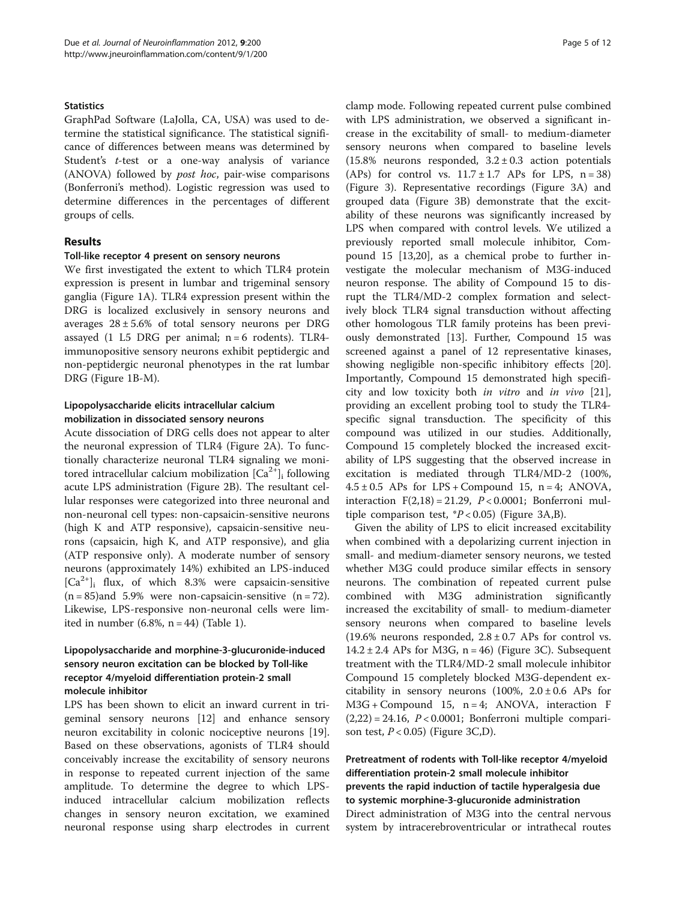#### **Statistics**

GraphPad Software (LaJolla, CA, USA) was used to determine the statistical significance. The statistical significance of differences between means was determined by Student's t-test or a one-way analysis of variance (ANOVA) followed by post hoc, pair-wise comparisons (Bonferroni's method). Logistic regression was used to determine differences in the percentages of different groups of cells.

## Results

#### Toll-like receptor 4 present on sensory neurons

We first investigated the extent to which TLR4 protein expression is present in lumbar and trigeminal sensory ganglia (Figure [1A](#page-6-0)). TLR4 expression present within the DRG is localized exclusively in sensory neurons and averages  $28 \pm 5.6$ % of total sensory neurons per DRG assayed (1 L5 DRG per animal;  $n = 6$  rodents). TLR4immunopositive sensory neurons exhibit peptidergic and non-peptidergic neuronal phenotypes in the rat lumbar DRG (Figure [1B-M](#page-6-0)).

## Lipopolysaccharide elicits intracellular calcium mobilization in dissociated sensory neurons

Acute dissociation of DRG cells does not appear to alter the neuronal expression of TLR4 (Figure [2A](#page-6-0)). To functionally characterize neuronal TLR4 signaling we monitored intracellular calcium mobilization  $[Ca^{2+}]$ <sub>i</sub> following acute LPS administration (Figure [2B\)](#page-6-0). The resultant cellular responses were categorized into three neuronal and non-neuronal cell types: non-capsaicin-sensitive neurons (high K and ATP responsive), capsaicin-sensitive neurons (capsaicin, high K, and ATP responsive), and glia (ATP responsive only). A moderate number of sensory neurons (approximately 14%) exhibited an LPS-induced  $[Ca^{2+}]$ <sub>i</sub> flux, of which 8.3% were capsaicin-sensitive  $(n = 85)$ and 5.9% were non-capsaicin-sensitive  $(n = 72)$ . Likewise, LPS-responsive non-neuronal cells were limited in number  $(6.8\%, n = 44)$  (Table [1\)](#page-7-0).

## Lipopolysaccharide and morphine-3-glucuronide-induced sensory neuron excitation can be blocked by Toll-like receptor 4/myeloid differentiation protein-2 small molecule inhibitor

LPS has been shown to elicit an inward current in trigeminal sensory neurons [[12\]](#page-10-0) and enhance sensory neuron excitability in colonic nociceptive neurons [\[19](#page-10-0)]. Based on these observations, agonists of TLR4 should conceivably increase the excitability of sensory neurons in response to repeated current injection of the same amplitude. To determine the degree to which LPSinduced intracellular calcium mobilization reflects changes in sensory neuron excitation, we examined neuronal response using sharp electrodes in current

clamp mode. Following repeated current pulse combined with LPS administration, we observed a significant increase in the excitability of small- to medium-diameter sensory neurons when compared to baseline levels (15.8% neurons responded,  $3.2 \pm 0.3$  action potentials (APs) for control vs.  $11.7 \pm 1.7$  APs for LPS,  $n = 38$ ) (Figure [3](#page-7-0)). Representative recordings (Figure [3A\)](#page-7-0) and grouped data (Figure [3B](#page-7-0)) demonstrate that the excitability of these neurons was significantly increased by LPS when compared with control levels. We utilized a previously reported small molecule inhibitor, Compound 15 [\[13,20](#page-10-0)], as a chemical probe to further investigate the molecular mechanism of M3G-induced neuron response. The ability of Compound 15 to disrupt the TLR4/MD-2 complex formation and selectively block TLR4 signal transduction without affecting other homologous TLR family proteins has been previously demonstrated [[13\]](#page-10-0). Further, Compound 15 was screened against a panel of 12 representative kinases, showing negligible non-specific inhibitory effects [\[20](#page-10-0)]. Importantly, Compound 15 demonstrated high specificity and low toxicity both in vitro and in vivo [\[21](#page-10-0)], providing an excellent probing tool to study the TLR4 specific signal transduction. The specificity of this compound was utilized in our studies. Additionally, Compound 15 completely blocked the increased excitability of LPS suggesting that the observed increase in excitation is mediated through TLR4/MD-2 (100%,  $4.5 \pm 0.5$  APs for LPS + Compound 15, n = 4; ANOVA, interaction  $F(2,18) = 21.29$ ,  $P < 0.0001$ ; Bonferroni multiple comparison test,  $P < 0.05$ ) (Figure [3A,B\)](#page-7-0).

Given the ability of LPS to elicit increased excitability when combined with a depolarizing current injection in small- and medium-diameter sensory neurons, we tested whether M3G could produce similar effects in sensory neurons. The combination of repeated current pulse combined with M3G administration significantly increased the excitability of small- to medium-diameter sensory neurons when compared to baseline levels (19.6% neurons responded,  $2.8 \pm 0.7$  APs for control vs.  $14.2 \pm 2.4$  APs for M3G, n = 46) (Figure [3C\)](#page-7-0). Subsequent treatment with the TLR4/MD-2 small molecule inhibitor Compound 15 completely blocked M3G-dependent excitability in sensory neurons (100%,  $2.0 \pm 0.6$  APs for M3G + Compound 15, n = 4; ANOVA, interaction F  $(2,22) = 24.16$ ,  $P < 0.0001$ ; Bonferroni multiple comparison test,  $P < 0.05$ ) (Figure [3C,D\)](#page-7-0).

## Pretreatment of rodents with Toll-like receptor 4/myeloid differentiation protein-2 small molecule inhibitor prevents the rapid induction of tactile hyperalgesia due to systemic morphine-3-glucuronide administration Direct administration of M3G into the central nervous system by intracerebroventricular or intrathecal routes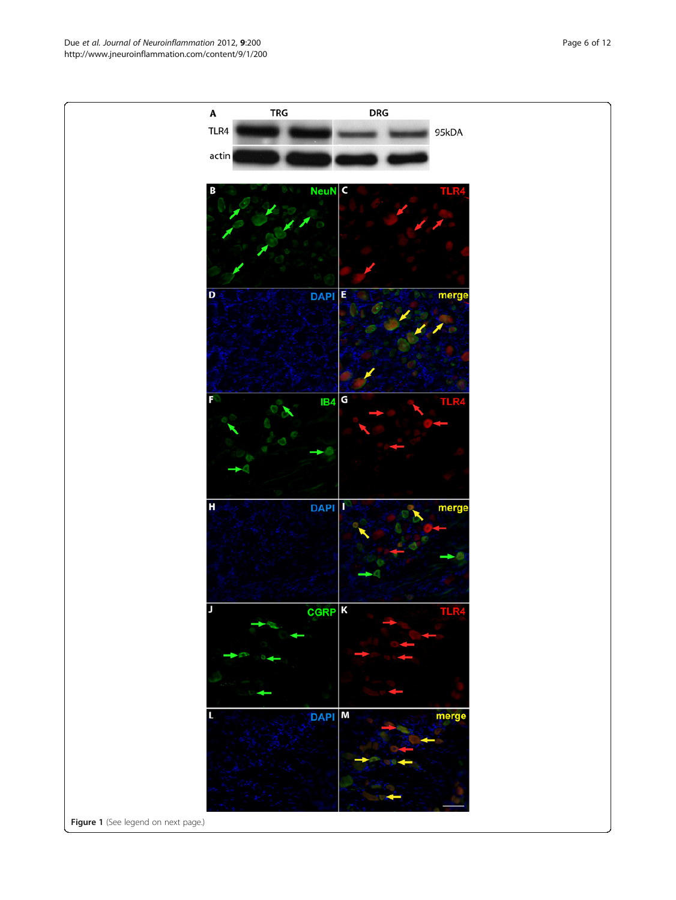Due et al. Journal of Neuroinflammation 2012, 9:200 Page 6 of 12 http://www.jneuroinflammation.com/content/9/1/200

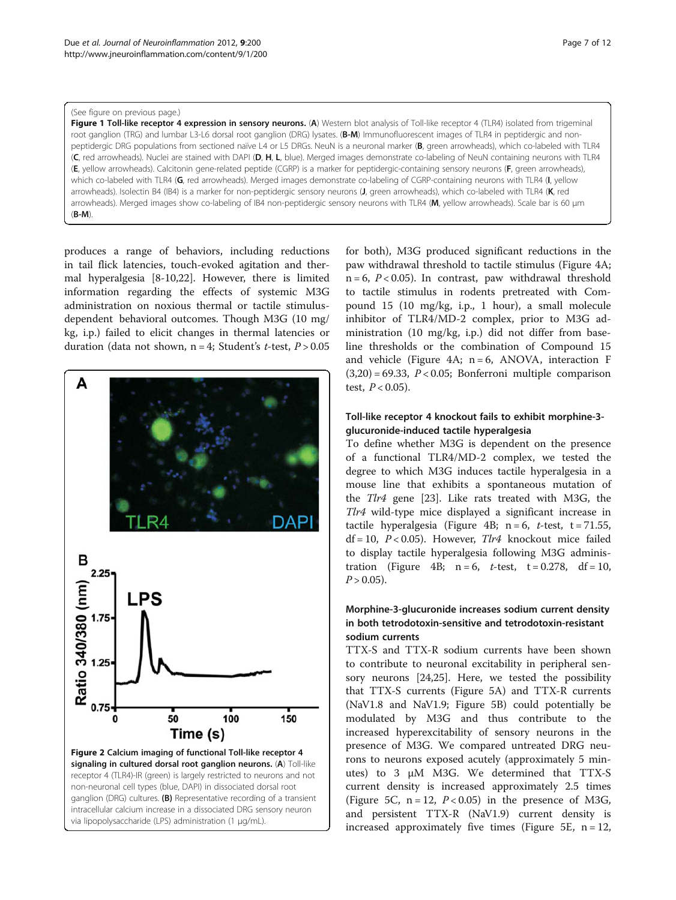#### <span id="page-6-0"></span>(See figure on previous page.)

Figure 1 Toll-like receptor 4 expression in sensory neurons. (A) Western blot analysis of Toll-like receptor 4 (TLR4) isolated from trigeminal root ganglion (TRG) and lumbar L3-L6 dorsal root ganglion (DRG) lysates. (B-M) Immunofluorescent images of TLR4 in peptidergic and nonpeptidergic DRG populations from sectioned naïve L4 or L5 DRGs. NeuN is a neuronal marker (B, green arrowheads), which co-labeled with TLR4 (C, red arrowheads). Nuclei are stained with DAPI (D, H, L, blue). Merged images demonstrate co-labeling of NeuN containing neurons with TLR4 (E, yellow arrowheads). Calcitonin gene-related peptide (CGRP) is a marker for peptidergic-containing sensory neurons (F, green arrowheads), which co-labeled with TLR4 (G, red arrowheads). Merged images demonstrate co-labeling of CGRP-containing neurons with TLR4 (I, yellow arrowheads). Isolectin B4 (IB4) is a marker for non-peptidergic sensory neurons (J, green arrowheads), which co-labeled with TLR4 (K, red arrowheads). Merged images show co-labeling of IB4 non-peptidergic sensory neurons with TLR4 (M, yellow arrowheads). Scale bar is 60 µm  $(B-M)$ 

produces a range of behaviors, including reductions in tail flick latencies, touch-evoked agitation and thermal hyperalgesia [[8-10,22](#page-10-0)]. However, there is limited information regarding the effects of systemic M3G administration on noxious thermal or tactile stimulusdependent behavioral outcomes. Though M3G (10 mg/ kg, i.p.) failed to elicit changes in thermal latencies or duration (data not shown,  $n = 4$ ; Student's *t*-test,  $P > 0.05$ 



for both), M3G produced significant reductions in the paw withdrawal threshold to tactile stimulus (Figure [4A](#page-8-0);  $n = 6$ ,  $P < 0.05$ ). In contrast, paw withdrawal threshold to tactile stimulus in rodents pretreated with Compound 15 (10 mg/kg, i.p., 1 hour), a small molecule inhibitor of TLR4/MD-2 complex, prior to M3G administration (10 mg/kg, i.p.) did not differ from baseline thresholds or the combination of Compound 15 and vehicle (Figure [4A;](#page-8-0)  $n = 6$ , ANOVA, interaction F  $(3,20) = 69.33$ ,  $P < 0.05$ ; Bonferroni multiple comparison test,  $P < 0.05$ ).

## Toll-like receptor 4 knockout fails to exhibit morphine-3 glucuronide-induced tactile hyperalgesia

To define whether M3G is dependent on the presence of a functional TLR4/MD-2 complex, we tested the degree to which M3G induces tactile hyperalgesia in a mouse line that exhibits a spontaneous mutation of the Tlr4 gene [[23\]](#page-10-0). Like rats treated with M3G, the Tlr4 wild-type mice displayed a significant increase in tactile hyperalgesia (Figure [4B](#page-8-0);  $n = 6$ , t-test, t = 71.55,  $df = 10$ ,  $P < 0.05$ ). However,  $Tl r4$  knockout mice failed to display tactile hyperalgesia following M3G adminis-tration (Figure [4B](#page-8-0);  $n = 6$ , t-test,  $t = 0.278$ ,  $df = 10$ ,  $P > 0.05$ ).

## Morphine-3-glucuronide increases sodium current density in both tetrodotoxin-sensitive and tetrodotoxin-resistant sodium currents

TTX-S and TTX-R sodium currents have been shown to contribute to neuronal excitability in peripheral sensory neurons [\[24,25\]](#page-10-0). Here, we tested the possibility that TTX-S currents (Figure [5A\)](#page-9-0) and TTX-R currents (NaV1.8 and NaV1.9; Figure [5B\)](#page-9-0) could potentially be modulated by M3G and thus contribute to the increased hyperexcitability of sensory neurons in the presence of M3G. We compared untreated DRG neurons to neurons exposed acutely (approximately 5 minutes) to 3 μM M3G. We determined that TTX-S current density is increased approximately 2.5 times (Figure 5C,  $n = 12$ ,  $P < 0.05$ ) in the presence of M3G, and persistent TTX-R (NaV1.9) current density is increased approximately five times (Figure 5E,  $n = 12$ ,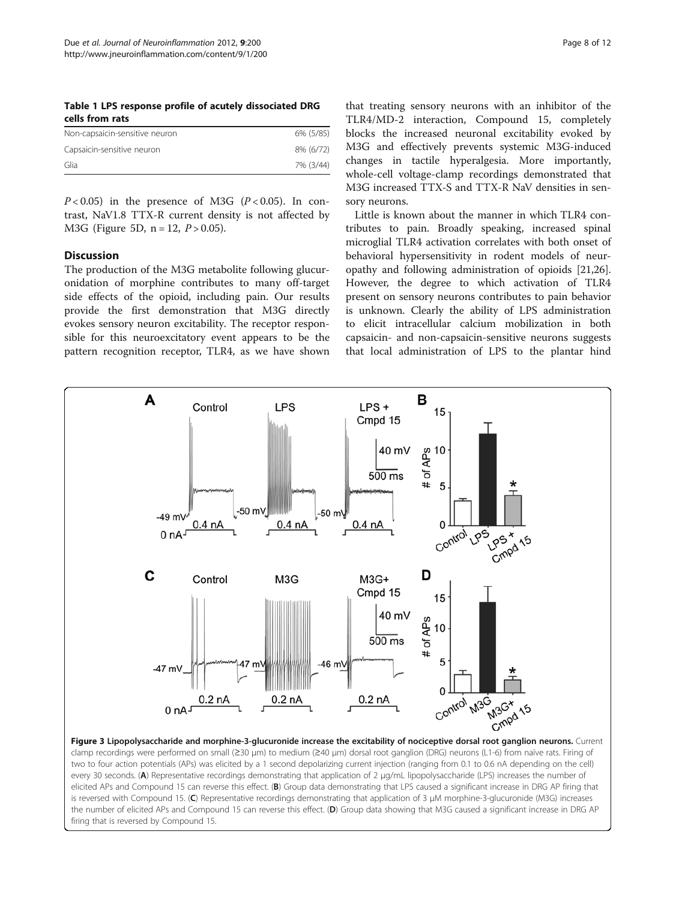<span id="page-7-0"></span>Table 1 LPS response profile of acutely dissociated DRG cells from rats

| Non-capsaicin-sensitive neuron | 6% (5/85) |
|--------------------------------|-----------|
| Capsaicin-sensitive neuron     | 8% (6/72) |
| Glia                           | 7% (3/44) |

 $P < 0.05$ ) in the presence of M3G ( $P < 0.05$ ). In contrast, NaV1.8 TTX-R current density is not affected by M3G (Figure 5D,  $n = 12$ ,  $P > 0.05$ ).

#### **Discussion**

The production of the M3G metabolite following glucuronidation of morphine contributes to many off-target side effects of the opioid, including pain. Our results provide the first demonstration that M3G directly evokes sensory neuron excitability. The receptor responsible for this neuroexcitatory event appears to be the pattern recognition receptor, TLR4, as we have shown

firing that is reversed by Compound 15.

that treating sensory neurons with an inhibitor of the TLR4/MD-2 interaction, Compound 15, completely blocks the increased neuronal excitability evoked by M3G and effectively prevents systemic M3G-induced changes in tactile hyperalgesia. More importantly, whole-cell voltage-clamp recordings demonstrated that M3G increased TTX-S and TTX-R NaV densities in sensory neurons.

Little is known about the manner in which TLR4 contributes to pain. Broadly speaking, increased spinal microglial TLR4 activation correlates with both onset of behavioral hypersensitivity in rodent models of neuropathy and following administration of opioids [\[21,26](#page-10-0)]. However, the degree to which activation of TLR4 present on sensory neurons contributes to pain behavior is unknown. Clearly the ability of LPS administration to elicit intracellular calcium mobilization in both capsaicin- and non-capsaicin-sensitive neurons suggests that local administration of LPS to the plantar hind



the number of elicited APs and Compound 15 can reverse this effect. (D) Group data showing that M3G caused a significant increase in DRG AP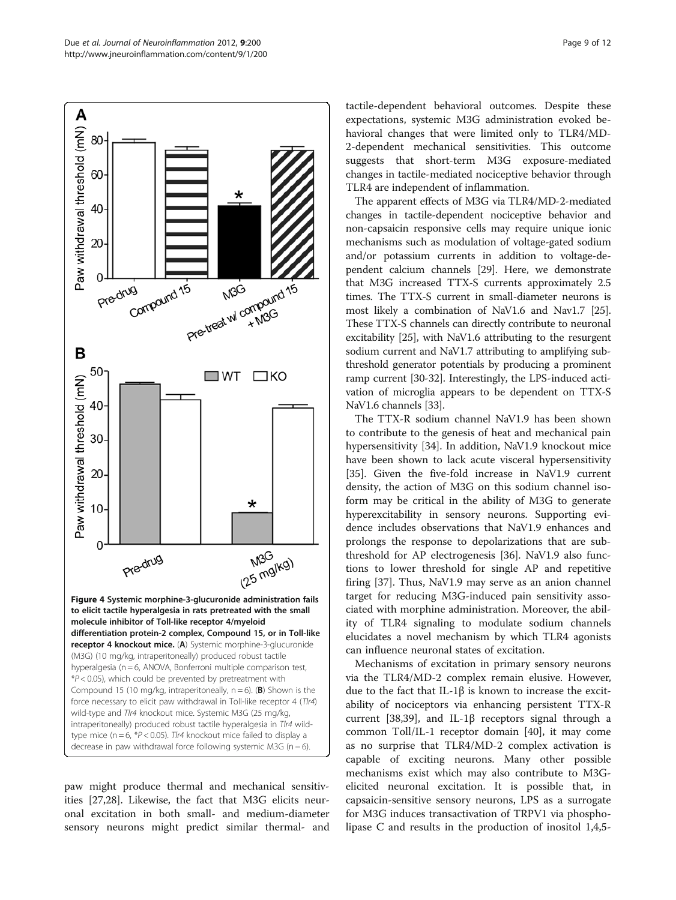<span id="page-8-0"></span>

paw might produce thermal and mechanical sensitivities [\[27,28\]](#page-10-0). Likewise, the fact that M3G elicits neuronal excitation in both small- and medium-diameter sensory neurons might predict similar thermal- and

tactile-dependent behavioral outcomes. Despite these expectations, systemic M3G administration evoked behavioral changes that were limited only to TLR4/MD-2-dependent mechanical sensitivities. This outcome suggests that short-term M3G exposure-mediated changes in tactile-mediated nociceptive behavior through TLR4 are independent of inflammation.

The apparent effects of M3G via TLR4/MD-2-mediated changes in tactile-dependent nociceptive behavior and non-capsaicin responsive cells may require unique ionic mechanisms such as modulation of voltage-gated sodium and/or potassium currents in addition to voltage-dependent calcium channels [[29](#page-11-0)]. Here, we demonstrate that M3G increased TTX-S currents approximately 2.5 times. The TTX-S current in small-diameter neurons is most likely a combination of NaV1.6 and Nav1.7 [[25](#page-10-0)]. These TTX-S channels can directly contribute to neuronal excitability [\[25\]](#page-10-0), with NaV1.6 attributing to the resurgent sodium current and NaV1.7 attributing to amplifying subthreshold generator potentials by producing a prominent ramp current [[30](#page-11-0)-[32](#page-11-0)]. Interestingly, the LPS-induced activation of microglia appears to be dependent on TTX-S NaV1.6 channels [\[33\]](#page-11-0).

The TTX-R sodium channel NaV1.9 has been shown to contribute to the genesis of heat and mechanical pain hypersensitivity [[34](#page-11-0)]. In addition, NaV1.9 knockout mice have been shown to lack acute visceral hypersensitivity [[35\]](#page-11-0). Given the five-fold increase in NaV1.9 current density, the action of M3G on this sodium channel isoform may be critical in the ability of M3G to generate hyperexcitability in sensory neurons. Supporting evidence includes observations that NaV1.9 enhances and prolongs the response to depolarizations that are subthreshold for AP electrogenesis [[36\]](#page-11-0). NaV1.9 also functions to lower threshold for single AP and repetitive firing [[37\]](#page-11-0). Thus, NaV1.9 may serve as an anion channel target for reducing M3G-induced pain sensitivity associated with morphine administration. Moreover, the ability of TLR4 signaling to modulate sodium channels elucidates a novel mechanism by which TLR4 agonists can influence neuronal states of excitation.

Mechanisms of excitation in primary sensory neurons via the TLR4/MD-2 complex remain elusive. However, due to the fact that IL-1β is known to increase the excitability of nociceptors via enhancing persistent TTX-R current [\[38,39](#page-11-0)], and IL-1β receptors signal through a common Toll/IL-1 receptor domain [\[40\]](#page-11-0), it may come as no surprise that TLR4/MD-2 complex activation is capable of exciting neurons. Many other possible mechanisms exist which may also contribute to M3Gelicited neuronal excitation. It is possible that, in capsaicin-sensitive sensory neurons, LPS as a surrogate for M3G induces transactivation of TRPV1 via phospholipase C and results in the production of inositol 1,4,5-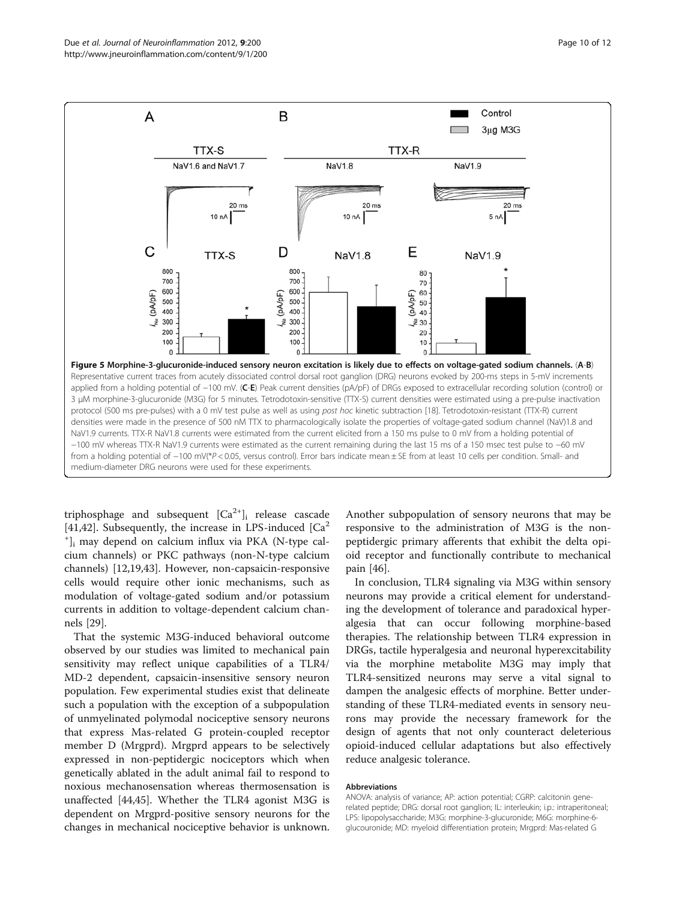<span id="page-9-0"></span>

triphosphage and subsequent  $[Ca^{2+}]$ <sub>i</sub> release cascade [[41,42\]](#page-11-0). Subsequently, the increase in LPS-induced  $\lceil Ca^2 \rceil$ + ]i may depend on calcium influx via PKA (N-type calcium channels) or PKC pathways (non-N-type calcium channels) [[12](#page-10-0),[19](#page-10-0),[43](#page-11-0)]. However, non-capsaicin-responsive cells would require other ionic mechanisms, such as modulation of voltage-gated sodium and/or potassium currents in addition to voltage-dependent calcium channels [[29\]](#page-11-0).

That the systemic M3G-induced behavioral outcome observed by our studies was limited to mechanical pain sensitivity may reflect unique capabilities of a TLR4/ MD-2 dependent, capsaicin-insensitive sensory neuron population. Few experimental studies exist that delineate such a population with the exception of a subpopulation of unmyelinated polymodal nociceptive sensory neurons that express Mas-related G protein-coupled receptor member D (Mrgprd). Mrgprd appears to be selectively expressed in non-peptidergic nociceptors which when genetically ablated in the adult animal fail to respond to noxious mechanosensation whereas thermosensation is unaffected [\[44,45\]](#page-11-0). Whether the TLR4 agonist M3G is dependent on Mrgprd-positive sensory neurons for the changes in mechanical nociceptive behavior is unknown. Another subpopulation of sensory neurons that may be responsive to the administration of M3G is the nonpeptidergic primary afferents that exhibit the delta opioid receptor and functionally contribute to mechanical pain [\[46](#page-11-0)].

In conclusion, TLR4 signaling via M3G within sensory neurons may provide a critical element for understanding the development of tolerance and paradoxical hyperalgesia that can occur following morphine-based therapies. The relationship between TLR4 expression in DRGs, tactile hyperalgesia and neuronal hyperexcitability via the morphine metabolite M3G may imply that TLR4-sensitized neurons may serve a vital signal to dampen the analgesic effects of morphine. Better understanding of these TLR4-mediated events in sensory neurons may provide the necessary framework for the design of agents that not only counteract deleterious opioid-induced cellular adaptations but also effectively reduce analgesic tolerance.

#### Abbreviations

ANOVA: analysis of variance; AP: action potential; CGRP: calcitonin generelated peptide; DRG: dorsal root ganglion; IL: interleukin; i.p.: intraperitoneal; LPS: lipopolysaccharide; M3G: morphine-3-glucuronide; M6G: morphine-6 glucouronide; MD: myeloid differentiation protein; Mrgprd: Mas-related G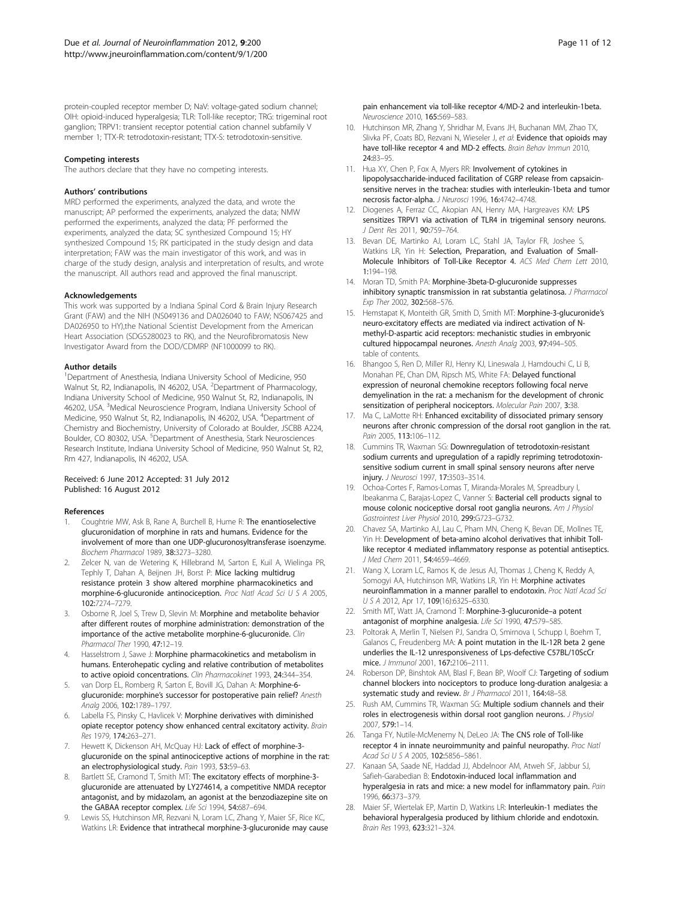<span id="page-10-0"></span>protein-coupled receptor member D; NaV: voltage-gated sodium channel; OIH: opioid-induced hyperalgesia; TLR: Toll-like receptor; TRG: trigeminal root ganglion; TRPV1: transient receptor potential cation channel subfamily V member 1; TTX-R: tetrodotoxin-resistant; TTX-S: tetrodotoxin-sensitive.

#### Competing interests

The authors declare that they have no competing interests.

#### Authors' contributions

MRD performed the experiments, analyzed the data, and wrote the manuscript; AP performed the experiments, analyzed the data; NMW performed the experiments, analyzed the data; PF performed the experiments, analyzed the data; SC synthesized Compound 15; HY synthesized Compound 15; RK participated in the study design and data interpretation; FAW was the main investigator of this work, and was in charge of the study design, analysis and interpretation of results, and wrote the manuscript. All authors read and approved the final manuscript.

#### Acknowledgements

This work was supported by a Indiana Spinal Cord & Brain Injury Research Grant (FAW) and the NIH (NS049136 and DA026040 to FAW; NS067425 and DA026950 to HY),the National Scientist Development from the American Heart Association (SDG5280023 to RK), and the Neurofibromatosis New Investigator Award from the DOD/CDMRP (NF1000099 to RK).

#### Author details

<sup>1</sup>Department of Anesthesia, Indiana University School of Medicine, 950 Walnut St, R2, Indianapolis, IN 46202, USA. <sup>2</sup>Department of Pharmacology, Indiana University School of Medicine, 950 Walnut St, R2, Indianapolis, IN 46202, USA. <sup>3</sup>Medical Neuroscience Program, Indiana University School of Medicine, 950 Walnut St, R2, Indianapolis, IN 46202, USA. <sup>4</sup>Department of Chemistry and Biochemistry, University of Colorado at Boulder, JSCBB A224, Boulder, CO 80302, USA. <sup>5</sup>Department of Anesthesia, Stark Neurosciences Research Institute, Indiana University School of Medicine, 950 Walnut St, R2, Rm 427, Indianapolis, IN 46202, USA.

#### Received: 6 June 2012 Accepted: 31 July 2012 Published: 16 August 2012

#### References

- Coughtrie MW, Ask B, Rane A, Burchell B, Hume R: The enantioselective glucuronidation of morphine in rats and humans. Evidence for the involvement of more than one UDP-glucuronosyltransferase isoenzyme. Biochem Pharmacol 1989, 38:3273–3280.
- 2. Zelcer N, van de Wetering K, Hillebrand M, Sarton E, Kuil A, Wielinga PR, Tephly T, Dahan A, Beijnen JH, Borst P: Mice lacking multidrug resistance protein 3 show altered morphine pharmacokinetics and morphine-6-glucuronide antinociception. Proc Natl Acad Sci U S A 2005, 102:7274–7279.
- 3. Osborne R, Joel S, Trew D, Slevin M: Morphine and metabolite behavior after different routes of morphine administration: demonstration of the importance of the active metabolite morphine-6-glucuronide. Clin Pharmacol Ther 1990, 47:12–19.
- 4. Hasselstrom J, Sawe J: Morphine pharmacokinetics and metabolism in humans. Enterohepatic cycling and relative contribution of metabolites to active opioid concentrations. Clin Pharmacokinet 1993, 24:344–354.
- 5. van Dorp EL, Romberg R, Sarton E, Bovill JG, Dahan A: Morphine-6 glucuronide: morphine's successor for postoperative pain relief? Anesth Analg 2006, 102:1789–1797.
- 6. Labella FS, Pinsky C, Havlicek V: Morphine derivatives with diminished opiate receptor potency show enhanced central excitatory activity. Brain Res 1979, 174:263–271.
- 7. Hewett K, Dickenson AH, McQuay HJ: Lack of effect of morphine-3glucuronide on the spinal antinociceptive actions of morphine in the rat: an electrophysiological study. Pain 1993, 53:59-63.
- Bartlett SE, Cramond T, Smith MT: The excitatory effects of morphine-3glucuronide are attenuated by LY274614, a competitive NMDA receptor antagonist, and by midazolam, an agonist at the benzodiazepine site on the GABAA receptor complex. Life Sci 1994, 54:687–694.
- 9. Lewis SS, Hutchinson MR, Rezvani N, Loram LC, Zhang Y, Maier SF, Rice KC, Watkins LR: Evidence that intrathecal morphine-3-glucuronide may cause

pain enhancement via toll-like receptor 4/MD-2 and interleukin-1beta. Neuroscience 2010, 165:569–583.

- 10. Hutchinson MR, Zhang Y, Shridhar M, Evans JH, Buchanan MM, Zhao TX, Slivka PF, Coats BD, Rezvani N, Wieseler J, et al: Evidence that opioids may have toll-like receptor 4 and MD-2 effects. Brain Behav Immun 2010, 24:83–95.
- 11. Hua XY, Chen P, Fox A, Myers RR: Involvement of cytokines in lipopolysaccharide-induced facilitation of CGRP release from capsaicinsensitive nerves in the trachea: studies with interleukin-1beta and tumor necrosis factor-alpha. J Neurosci 1996, 16:4742–4748.
- 12. Diogenes A, Ferraz CC, Akopian AN, Henry MA, Hargreaves KM: LPS sensitizes TRPV1 via activation of TLR4 in trigeminal sensory neurons. J Dent Res 2011, 90:759–764.
- 13. Bevan DE, Martinko AJ, Loram LC, Stahl JA, Taylor FR, Joshee S, Watkins LR, Yin H: Selection, Preparation, and Evaluation of Small-Molecule Inhibitors of Toll-Like Receptor 4. ACS Med Chem Lett 2010, 1:194–198.
- 14. Moran TD, Smith PA: Morphine-3beta-D-glucuronide suppresses inhibitory synaptic transmission in rat substantia gelatinosa. J Pharmacol Exp Ther 2002, 302:568–576.
- 15. Hemstapat K, Monteith GR, Smith D, Smith MT: Morphine-3-glucuronide's neuro-excitatory effects are mediated via indirect activation of Nmethyl-D-aspartic acid receptors: mechanistic studies in embryonic cultured hippocampal neurones. Anesth Analg 2003, 97:494–505. table of contents.
- 16. Bhangoo S, Ren D, Miller RJ, Henry KJ, Lineswala J, Hamdouchi C, Li B, Monahan PE, Chan DM, Ripsch MS, White FA: Delayed functional expression of neuronal chemokine receptors following focal nerve demyelination in the rat: a mechanism for the development of chronic sensitization of peripheral nociceptors. Molecular Pain 2007, 3:38.
- 17. Ma C, LaMotte RH: Enhanced excitability of dissociated primary sensory neurons after chronic compression of the dorsal root ganglion in the rat. Pain 2005, 113:106–112.
- 18. Cummins TR, Waxman SG: Downregulation of tetrodotoxin-resistant sodium currents and upregulation of a rapidly repriming tetrodotoxinsensitive sodium current in small spinal sensory neurons after nerve injury. J Neurosci 1997, 17:3503–3514.
- 19. Ochoa-Cortes F, Ramos-Lomas T, Miranda-Morales M, Spreadbury I, Ibeakanma C, Barajas-Lopez C, Vanner S: Bacterial cell products signal to mouse colonic nociceptive dorsal root ganglia neurons. Am J Physiol Gastrointest Liver Physiol 2010, 299:G723–G732.
- 20. Chavez SA, Martinko AJ, Lau C, Pham MN, Cheng K, Bevan DE, Mollnes TE, Yin H: Development of beta-amino alcohol derivatives that inhibit Tolllike receptor 4 mediated inflammatory response as potential antiseptics. J Med Chem 2011, 54:4659–4669.
- 21. Wang X, Loram LC, Ramos K, de Jesus AJ, Thomas J, Cheng K, Reddy A, Somogyi AA, Hutchinson MR, Watkins LR, Yin H: Morphine activates neuroinflammation in a manner parallel to endotoxin. Proc Natl Acad Sci USA 2012, Apr 17, 109(16):6325–6330.
- 22. Smith MT, Watt JA, Cramond T: Morphine-3-glucuronide–a potent antagonist of morphine analgesia. Life Sci 1990, 47:579–585.
- 23. Poltorak A, Merlin T, Nielsen PJ, Sandra O, Smirnova I, Schupp I, Boehm T, Galanos C, Freudenberg MA: A point mutation in the IL-12R beta 2 gene underlies the IL-12 unresponsiveness of Lps-defective C57BL/10ScCr mice. J Immunol 2001, 167:2106–2111.
- 24. Roberson DP, Binshtok AM, Blasl F, Bean BP, Woolf CJ: Targeting of sodium channel blockers into nociceptors to produce long-duration analgesia: a systematic study and review. Br J Pharmacol 2011, 164:48-58.
- 25. Rush AM, Cummins TR, Waxman SG: Multiple sodium channels and their roles in electrogenesis within dorsal root ganglion neurons. J Physiol 2007, 579:1–14.
- 26. Tanga FY, Nutile-McMenemy N, DeLeo JA: The CNS role of Toll-like receptor 4 in innate neuroimmunity and painful neuropathy. Proc Natl Acad Sci U S A 2005, 102:5856-5861.
- 27. Kanaan SA, Saade NE, Haddad JJ, Abdelnoor AM, Atweh SF, Jabbur SJ, Safieh-Garabedian B: Endotoxin-induced local inflammation and hyperalgesia in rats and mice: a new model for inflammatory pain. Pain 1996, 66:373–379.
- 28. Maier SF, Wiertelak EP, Martin D, Watkins LR: Interleukin-1 mediates the behavioral hyperalgesia produced by lithium chloride and endotoxin. Brain Res 1993, 623:321–324.